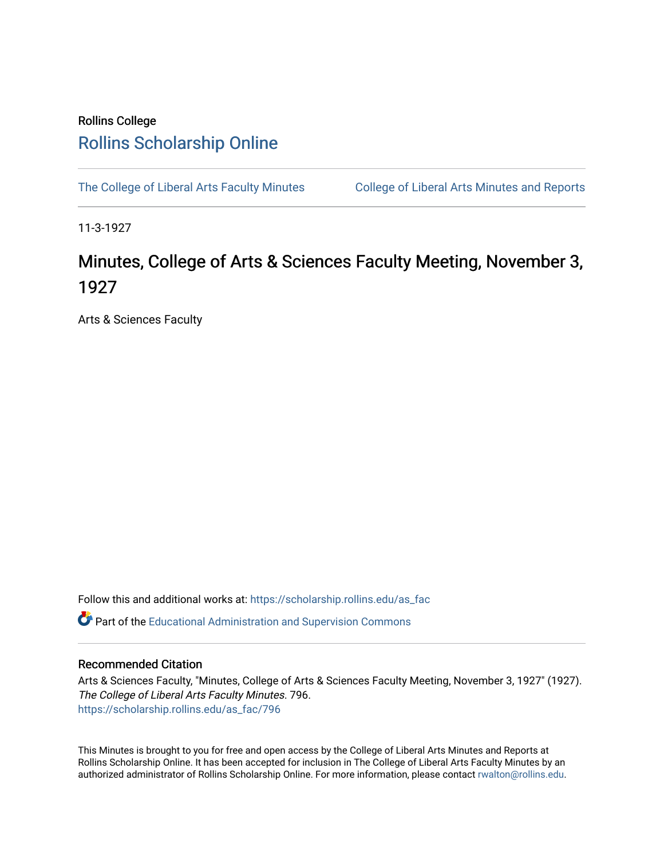## Rollins College [Rollins Scholarship Online](https://scholarship.rollins.edu/)

[The College of Liberal Arts Faculty Minutes](https://scholarship.rollins.edu/as_fac) College of Liberal Arts Minutes and Reports

11-3-1927

## Minutes, College of Arts & Sciences Faculty Meeting, November 3, 1927

Arts & Sciences Faculty

Follow this and additional works at: [https://scholarship.rollins.edu/as\\_fac](https://scholarship.rollins.edu/as_fac?utm_source=scholarship.rollins.edu%2Fas_fac%2F796&utm_medium=PDF&utm_campaign=PDFCoverPages) 

**P** Part of the [Educational Administration and Supervision Commons](http://network.bepress.com/hgg/discipline/787?utm_source=scholarship.rollins.edu%2Fas_fac%2F796&utm_medium=PDF&utm_campaign=PDFCoverPages)

## Recommended Citation

Arts & Sciences Faculty, "Minutes, College of Arts & Sciences Faculty Meeting, November 3, 1927" (1927). The College of Liberal Arts Faculty Minutes. 796. [https://scholarship.rollins.edu/as\\_fac/796](https://scholarship.rollins.edu/as_fac/796?utm_source=scholarship.rollins.edu%2Fas_fac%2F796&utm_medium=PDF&utm_campaign=PDFCoverPages) 

This Minutes is brought to you for free and open access by the College of Liberal Arts Minutes and Reports at Rollins Scholarship Online. It has been accepted for inclusion in The College of Liberal Arts Faculty Minutes by an authorized administrator of Rollins Scholarship Online. For more information, please contact [rwalton@rollins.edu](mailto:rwalton@rollins.edu).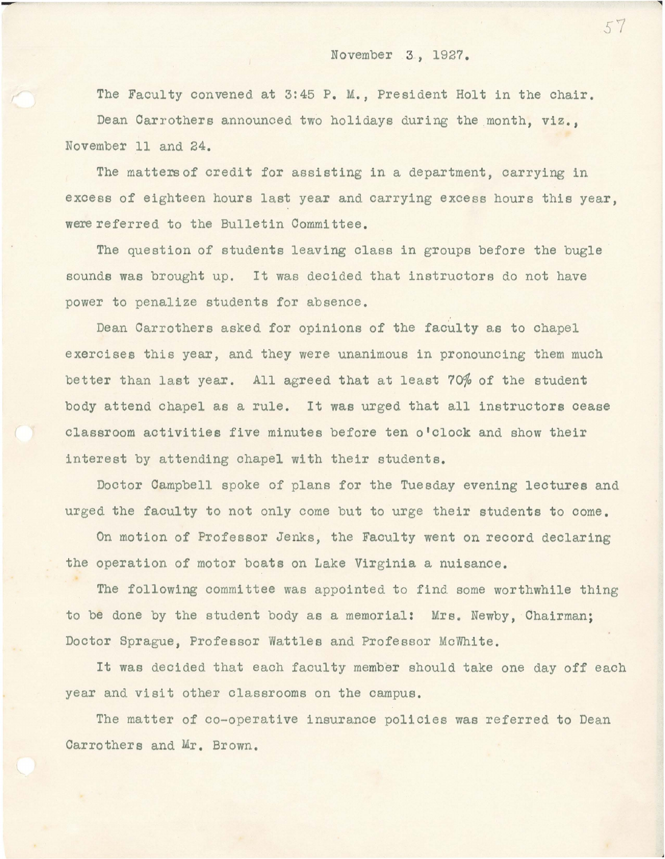## November 3, 1927.

The Faculty convened at 3:45 P. M., President Holt in the chair. Dean Carrothers announced two holidays during the month, viz., November 11 and 24.

The matters of credit for assisting in a department, carrying in excess of eighteen hours last year and carrying excess hours this year, were referred to the Bulletin Committee.

The question of students leaving class in groups before the bugle sounds was brought up. It was decided that instructors do not have power to penalize students for absence.

Dean Carrothers asked for opinions of the faculty as to chapel exercises this year, and they were unanimous in pronouncing them much better than last year. All agreed that at least 70% of the student body attend chapel as a rule. It was urged that all instructors cease classroom activities five minutes before ten o'clock and show their interest by attending chapel with their students.

Doctor Campbell spoke of plans for the Tuesday evening lectures and urged the faculty to not only come but to urge their students to come.

On motion of Professor Jenks, the Faculty went on record declaring the operation of motor boats on Lake Virginia a nuisance.

The following committee was appointed to find some worthwhile thing to be done by the student body as a memorial: Mrs. Newby, Chairman; Doctor Sprague, Professor Wattles and Professor McWhite.

It was decided that each faculty member should take one day off each year and visit other classrooms on the campus.

The matter of co-operative insurance policies was referred to Dean Carrothers and Mr. Brown.

*Sr* 

l